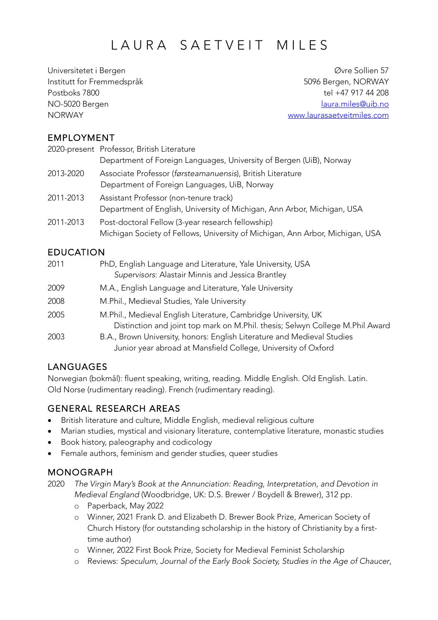# LAURA SAETVEIT MILES

Universitetet i Bergen Øvre Sollien 57 Institutt for Fremmedspråk 5096 Bergen, NORWAY Postboks 7800 tel +47 917 44 208 NO-5020 Bergen laura.miles@uib.no NORWAY www.laurasaetveitmiles.com

#### EMPLOYMENT

|           | 2020-present Professor, British Literature                                    |
|-----------|-------------------------------------------------------------------------------|
|           | Department of Foreign Languages, University of Bergen (UiB), Norway           |
| 2013-2020 | Associate Professor (førsteamanuensis), British Literature                    |
|           | Department of Foreign Languages, UiB, Norway                                  |
| 2011-2013 | Assistant Professor (non-tenure track)                                        |
|           | Department of English, University of Michigan, Ann Arbor, Michigan, USA       |
| 2011-2013 | Post-doctoral Fellow (3-year research fellowship)                             |
|           | Michigan Society of Fellows, University of Michigan, Ann Arbor, Michigan, USA |

# EDUCATION

| 2011 | PhD, English Language and Literature, Yale University, USA<br>Supervisors: Alastair Minnis and Jessica Brantley                                 |
|------|-------------------------------------------------------------------------------------------------------------------------------------------------|
| 2009 | M.A., English Language and Literature, Yale University                                                                                          |
| 2008 | M.Phil., Medieval Studies, Yale University                                                                                                      |
| 2005 | M.Phil., Medieval English Literature, Cambridge University, UK<br>Distinction and joint top mark on M.Phil. thesis; Selwyn College M.Phil Award |
| 2003 | B.A., Brown University, honors: English Literature and Medieval Studies<br>Junior year abroad at Mansfield College, University of Oxford        |

# LANGUAGES

Norwegian (bokmål): fluent speaking, writing, reading. Middle English. Old English. Latin. Old Norse (rudimentary reading). French (rudimentary reading).

#### GENERAL RESEARCH AREAS

- British literature and culture, Middle English, medieval religious culture
- Marian studies, mystical and visionary literature, contemplative literature, monastic studies
- Book history, paleography and codicology
- Female authors, feminism and gender studies, queer studies

#### MONOGRAPH

2020 *The Virgin Mary's Book at the Annunciation: Reading, Interpretation, and Devotion in Medieval England* (Woodbridge, UK: D.S. Brewer / Boydell & Brewer), 312 pp.

- o Paperback, May 2022
- o Winner, 2021 Frank D. and Elizabeth D. Brewer Book Prize, American Society of Church History (for outstanding scholarship in the history of Christianity by a firsttime author)
- o Winner, 2022 First Book Prize, Society for Medieval Feminist Scholarship
- o Reviews: *Speculum, Journal of the Early Book Society, Studies in the Age of Chaucer*,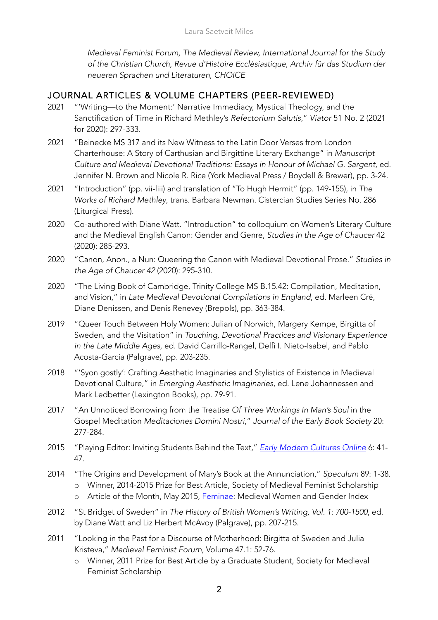*Medieval Feminist Forum, The Medieval Review, International Journal for the Study of the Christian Church, Revue d'Histoire Ecclésiastique, Archiv für das Studium der neueren Sprachen und Literaturen, CHOICE*

#### JOURNAL ARTICLES & VOLUME CHAPTERS (PEER-REVIEWED)

- 2021 "'Writing—to the Moment:' Narrative Immediacy, Mystical Theology, and the Sanctification of Time in Richard Methley's *Refectorium Salutis*," *Viator* 51 No. 2 (2021 for 2020): 297-333.
- 2021 "Beinecke MS 317 and its New Witness to the Latin Door Verses from London Charterhouse: A Story of Carthusian and Birgittine Literary Exchange" in *Manuscript Culture and Medieval Devotional Traditions: Essays in Honour of Michael G. Sargent*, ed. Jennifer N. Brown and Nicole R. Rice (York Medieval Press / Boydell & Brewer), pp. 3-24.
- 2021 "Introduction" (pp. vii-liii) and translation of "To Hugh Hermit" (pp. 149-155), in *The Works of Richard Methley*, trans. Barbara Newman. Cistercian Studies Series No. 286 (Liturgical Press).
- 2020 Co-authored with Diane Watt. "Introduction" to colloquium on Women's Literary Culture and the Medieval English Canon: Gender and Genre, *Studies in the Age of Chaucer* 42 (2020): 285-293.
- 2020 "Canon, Anon., a Nun: Queering the Canon with Medieval Devotional Prose." *Studies in the Age of Chaucer 42* (2020): 295-310.
- 2020 "The Living Book of Cambridge, Trinity College MS B.15.42: Compilation, Meditation, and Vision," in *Late Medieval Devotional Compilations in England*, ed. Marleen Cré, Diane Denissen, and Denis Renevey (Brepols), pp. 363-384.
- 2019 "Queer Touch Between Holy Women: Julian of Norwich, Margery Kempe, Birgitta of Sweden, and the Visitation" in *Touching, Devotional Practices and Visionary Experience in the Late Middle Ages*, ed. David Carrillo-Rangel, Delfi I. Nieto-Isabel, and Pablo Acosta-Garcia (Palgrave), pp. 203-235.
- 2018 "'Syon gostly': Crafting Aesthetic Imaginaries and Stylistics of Existence in Medieval Devotional Culture," in *Emerging Aesthetic Imaginaries*, ed. Lene Johannessen and Mark Ledbetter (Lexington Books), pp. 79-91.
- 2017 "An Unnoticed Borrowing from the Treatise *Of Three Workings In Man's Soul* in the Gospel Meditation *Meditaciones Domini Nostri*," *Journal of the Early Book Society* 20: 277-284.
- 2015 "Playing Editor: Inviting Students Behind the Text," *Early Modern Cultures Online* 6: 41- 47.
- 2014 "The Origins and Development of Mary's Book at the Annunciation," *Speculum* 89: 1-38. o Winner, 2014-2015 Prize for Best Article, Society of Medieval Feminist Scholarship
	- o Article of the Month, May 2015, Feminae: Medieval Women and Gender Index
- 2012 "St Bridget of Sweden" in *The History of British Women's Writing, Vol. 1: 700-1500*, ed. by Diane Watt and Liz Herbert McAvoy (Palgrave), pp. 207-215.
- 2011 "Looking in the Past for a Discourse of Motherhood: Birgitta of Sweden and Julia Kristeva," *Medieval Feminist Forum*, Volume 47.1: 52-76.
	- o Winner, 2011 Prize for Best Article by a Graduate Student, Society for Medieval Feminist Scholarship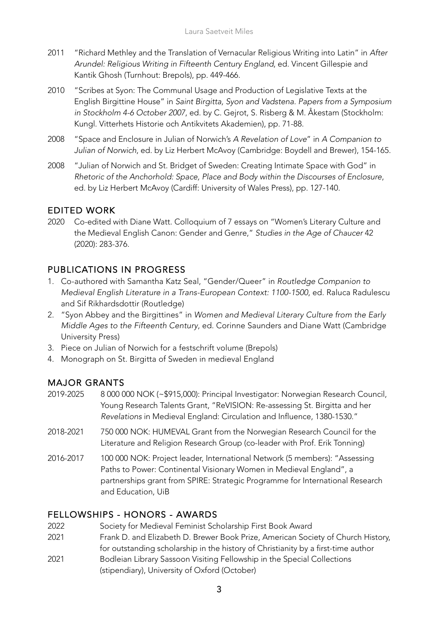- 2011 "Richard Methley and the Translation of Vernacular Religious Writing into Latin" in *After Arundel: Religious Writing in Fifteenth Century England*, ed. Vincent Gillespie and Kantik Ghosh (Turnhout: Brepols), pp. 449-466.
- 2010 "Scribes at Syon: The Communal Usage and Production of Legislative Texts at the English Birgittine House" in *Saint Birgitta, Syon and Vadstena. Papers from a Symposium in Stockholm 4-6 October 2007*, ed. by C. Gejrot, S. Risberg & M. Åkestam (Stockholm: Kungl. Vitterhets Historie och Antikvitets Akademien), pp. 71-88.
- 2008 "Space and Enclosure in Julian of Norwich's *A Revelation of Love*" in *A Companion to Julian of Norwich*, ed. by Liz Herbert McAvoy (Cambridge: Boydell and Brewer), 154-165.
- 2008 "Julian of Norwich and St. Bridget of Sweden: Creating Intimate Space with God" in *Rhetoric of the Anchorhold: Space, Place and Body within the Discourses of Enclosure*, ed. by Liz Herbert McAvoy (Cardiff: University of Wales Press), pp. 127-140.

#### EDITED WORK

2020 Co-edited with Diane Watt. Colloquium of 7 essays on "Women's Literary Culture and the Medieval English Canon: Gender and Genre," *Studies in the Age of Chaucer* 42 (2020): 283-376.

#### PUBLICATIONS IN PROGRESS

- 1. Co-authored with Samantha Katz Seal, "Gender/Queer" in *Routledge Companion to Medieval English Literature in a Trans-European Context: 1100-1500*, ed. Raluca Radulescu and Sif Rikhardsdottir (Routledge)
- 2. "Syon Abbey and the Birgittines" in *Women and Medieval Literary Culture from the Early Middle Ages to the Fifteenth Century*, ed. Corinne Saunders and Diane Watt (Cambridge University Press)
- 3. Piece on Julian of Norwich for a festschrift volume (Brepols)
- 4. Monograph on St. Birgitta of Sweden in medieval England

#### MAJOR GRANTS

- 2019-2025 8 000 000 NOK (~\$915,000): Principal Investigator: Norwegian Research Council, Young Research Talents Grant, "ReVISION: Re-assessing St. Birgitta and her *Revelations* in Medieval England: Circulation and Influence, 1380-1530."
- 2018-2021 750 000 NOK: HUMEVAL Grant from the Norwegian Research Council for the Literature and Religion Research Group (co-leader with Prof. Erik Tonning)
- 2016-2017 100 000 NOK: Project leader, International Network (5 members): "Assessing Paths to Power: Continental Visionary Women in Medieval England", a partnerships grant from SPIRE: Strategic Programme for International Research and Education, UiB

#### FELLOWSHIPS - HONORS - AWARDS

- 2022 Society for Medieval Feminist Scholarship First Book Award
- 2021 Frank D. and Elizabeth D. Brewer Book Prize, American Society of Church History,
- for outstanding scholarship in the history of Christianity by a first-time author
- 2021 Bodleian Library Sassoon Visiting Fellowship in the Special Collections (stipendiary), University of Oxford (October)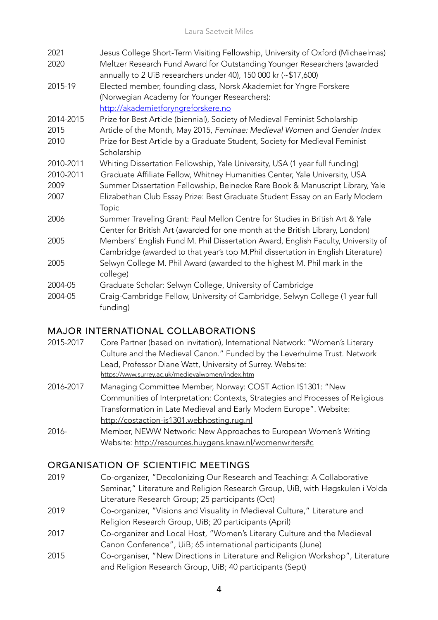| 2021<br>2020              | Jesus College Short-Term Visiting Fellowship, University of Oxford (Michaelmas)<br>Meltzer Research Fund Award for Outstanding Younger Researchers (awarded<br>annually to 2 UiB researchers under 40), 150 000 kr $(\sim $17,600)$                   |
|---------------------------|-------------------------------------------------------------------------------------------------------------------------------------------------------------------------------------------------------------------------------------------------------|
| 2015-19                   | Elected member, founding class, Norsk Akademiet for Yngre Forskere<br>(Norwegian Academy for Younger Researchers):<br>http://akademietforyngreforskere.no                                                                                             |
| 2014-2015<br>2015<br>2010 | Prize for Best Article (biennial), Society of Medieval Feminist Scholarship<br>Article of the Month, May 2015, Feminae: Medieval Women and Gender Index<br>Prize for Best Article by a Graduate Student, Society for Medieval Feminist<br>Scholarship |
| 2010-2011                 | Whiting Dissertation Fellowship, Yale University, USA (1 year full funding)                                                                                                                                                                           |
| 2010-2011                 | Graduate Affiliate Fellow, Whitney Humanities Center, Yale University, USA                                                                                                                                                                            |
| 2009                      | Summer Dissertation Fellowship, Beinecke Rare Book & Manuscript Library, Yale                                                                                                                                                                         |
| 2007                      | Elizabethan Club Essay Prize: Best Graduate Student Essay on an Early Modern<br>Topic                                                                                                                                                                 |
| 2006                      | Summer Traveling Grant: Paul Mellon Centre for Studies in British Art & Yale<br>Center for British Art (awarded for one month at the British Library, London)                                                                                         |
| 2005                      | Members' English Fund M. Phil Dissertation Award, English Faculty, University of<br>Cambridge (awarded to that year's top M.Phil dissertation in English Literature)                                                                                  |
| 2005                      | Selwyn College M. Phil Award (awarded to the highest M. Phil mark in the<br>college)                                                                                                                                                                  |
| 2004-05                   | Graduate Scholar: Selwyn College, University of Cambridge                                                                                                                                                                                             |
| 2004-05                   | Craig-Cambridge Fellow, University of Cambridge, Selwyn College (1 year full<br>funding)                                                                                                                                                              |

#### MAJOR INTERNATIONAL COLLABORATIONS

- 2015-2017 Core Partner (based on invitation), International Network: "Women's Literary Culture and the Medieval Canon." Funded by the Leverhulme Trust. Network Lead, Professor Diane Watt, University of Surrey. Website: https://www.surrey.ac.uk/medievalwomen/index.htm
- 2016-2017 Managing Committee Member, Norway: COST Action IS1301: "New Communities of Interpretation: Contexts, Strategies and Processes of Religious Transformation in Late Medieval and Early Modern Europe". Website: http://costaction-is1301.webhosting.rug.nl
- 2016- Member, NEWW Network: New Approaches to European Women's Writing Website: http://resources.huygens.knaw.nl/womenwriters#c

#### ORGANISATION OF SCIENTIFIC MEETINGS

- 2019 Co-organizer, "Decolonizing Our Research and Teaching: A Collaborative Seminar," Literature and Religion Research Group, UiB, with Høgskulen i Volda Literature Research Group; 25 participants (Oct)
- 2019 Co-organizer, "Visions and Visuality in Medieval Culture," Literature and Religion Research Group, UiB; 20 participants (April)
- 2017 Co-organizer and Local Host, "Women's Literary Culture and the Medieval Canon Conference", UiB; 65 international participants (June)
- 2015 Co-organiser, "New Directions in Literature and Religion Workshop", Literature and Religion Research Group, UiB; 40 participants (Sept)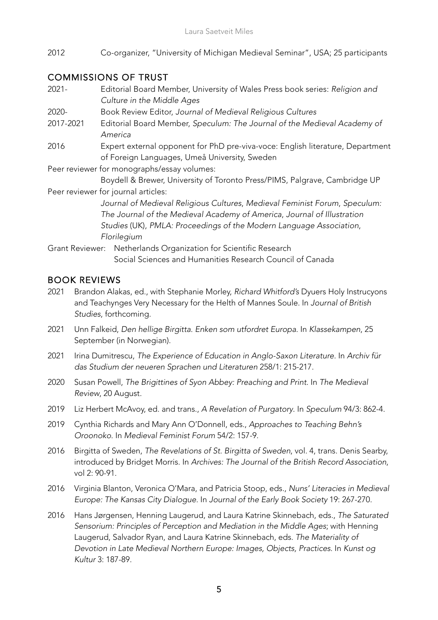2012 Co-organizer, "University of Michigan Medieval Seminar", USA; 25 participants

#### COMMISSIONS OF TRUST

| $2021 -$               | Editorial Board Member, University of Wales Press book series: Religion and                                                     |
|------------------------|---------------------------------------------------------------------------------------------------------------------------------|
|                        | Culture in the Middle Ages                                                                                                      |
| 2020-                  | Book Review Editor, Journal of Medieval Religious Cultures                                                                      |
| 2017-2021              | Editorial Board Member, Speculum: The Journal of the Medieval Academy of<br>America                                             |
| 2016                   | Expert external opponent for PhD pre-viva-voce: English literature, Department<br>of Foreign Languages, Umeå University, Sweden |
|                        | Peer reviewer for monographs/essay volumes:                                                                                     |
|                        | Boydell & Brewer, University of Toronto Press/PIMS, Palgrave, Cambridge UP                                                      |
|                        | Peer reviewer for journal articles:                                                                                             |
|                        | Journal of Medieval Religious Cultures, Medieval Feminist Forum, Speculum:                                                      |
|                        | The Journal of the Medieval Academy of America, Journal of Illustration                                                         |
|                        | Studies (UK), PMLA: Proceedings of the Modern Language Association,                                                             |
|                        | Florilegium                                                                                                                     |
| <b>Grant Reviewer:</b> | Netherlands Organization for Scientific Research                                                                                |
|                        | Social Sciences and Humanities Research Council of Canada                                                                       |

#### BOOK REVIEWS

- 2021 Brandon Alakas, ed., with Stephanie Morley, *Richard Whitford's* Dyuers Holy Instrucyons and Teachynges Very Necessary for the Helth of Mannes Soule. In *Journal of British Studies*, forthcoming.
- 2021 Unn Falkeid, *Den hellige Birgitta. Enken som utfordret Europa*. In *Klassekampen*, 25 September (in Norwegian).
- 2021 Irina Dumitrescu, *The Experience of Education in Anglo-Saxon Literature*. In *Archiv für das Studium der neueren Sprachen und Literaturen* 258/1: 215-217.
- 2020 Susan Powell, *The Brigittines of Syon Abbey: Preaching and Print*. In *The Medieval Review*, 20 August.
- 2019 Liz Herbert McAvoy, ed. and trans., *A Revelation of Purgatory*. In *Speculum* 94/3: 862-4.
- 2019 Cynthia Richards and Mary Ann O'Donnell, eds., *Approaches to Teaching Behn's Oroonoko*. In *Medieval Feminist Forum* 54/2: 157-9.
- 2016 Birgitta of Sweden, *The Revelations of St. Birgitta of Sweden*, vol. 4, trans. Denis Searby, introduced by Bridget Morris. In *Archives: The Journal of the British Record Association*, vol 2: 90-91.
- 2016 Virginia Blanton, Veronica O'Mara, and Patricia Stoop, eds., *Nuns' Literacies in Medieval Europe: The Kansas City Dialogue*. In *Journal of the Early Book Society* 19: 267-270.
- 2016 Hans Jørgensen, Henning Laugerud, and Laura Katrine Skinnebach, eds., *The Saturated Sensorium: Principles of Perception and Mediation in the Middle Ages*; with Henning Laugerud, Salvador Ryan, and Laura Katrine Skinnebach, eds. *The Materiality of Devotion in Late Medieval Northern Europe: Images, Objects, Practices*. In *Kunst og Kultur* 3: 187-89.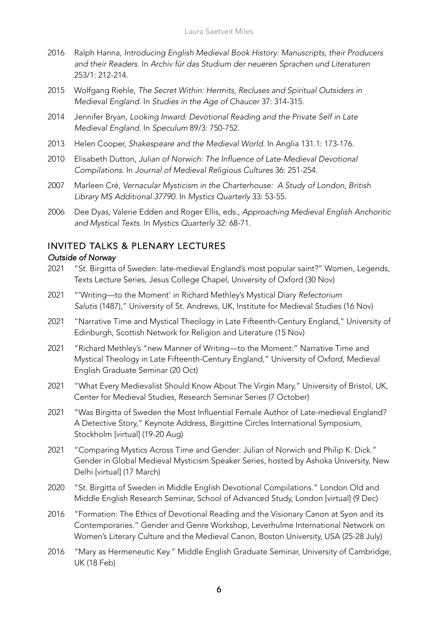- 2016 Ralph Hanna, *Introducing English Medieval Book History: Manuscripts, their Producers and their Readers*. In *Archiv für das Studium der neueren Sprachen und Literaturen* 253/1: 212-214.
- 2015 Wolfgang Riehle, *The Secret Within: Hermits, Recluses and Spiritual Outsiders in Medieval England*. In *Studies in the Age of Chaucer* 37: 314-315.
- 2014 Jennifer Bryan, *Looking Inward: Devotional Reading and the Private Self in Late Medieval England*. In *Speculum* 89/3: 750-752.
- 2013 Helen Cooper, *Shakespeare and the Medieval World*. In Anglia 131.1: 173-176.
- 2010 Elisabeth Dutton, *Julian of Norwich: The Influence of Late-Medieval Devotional Compilations*. In *Journal of Medieval Religious Cultures* 36: 251-254.
- 2007 Marleen Cré, *Vernacular Mysticism in the Charterhouse: A Study of London, British Library MS Additional 37790*. In *Mystics Quarterly* 33: 53-55.
- 2006 Dee Dyas, Valerie Edden and Roger Ellis, eds., *Approaching Medieval English Anchoritic and Mystical Texts*. In *Mystics Quarterly* 32: 68-71.

#### INVITED TALKS & PLENARY LECTURES

#### *Outside of Norway*

- 2021 "St. Birgitta of Sweden: late-medieval England's most popular saint?" Women, Legends, Texts Lecture Series, Jesus College Chapel, University of Oxford (30 Nov)
- 2021 "'Writing—to the Moment' in Richard Methley's Mystical Diary *Refectorium Salutis* (1487)," University of St. Andrews, UK, Institute for Medieval Studies (16 Nov)
- 2021 "Narrative Time and Mystical Theology in Late Fifteenth-Century England," University of Edinburgh, Scottish Network for Religion and Literature (15 Nov)
- 2021 "Richard Methley's "new Manner of Writing—to the Moment:" Narrative Time and Mystical Theology in Late Fifteenth-Century England," University of Oxford, Medieval English Graduate Seminar (20 Oct)
- 2021 "What Every Medievalist Should Know About The Virgin Mary," University of Bristol, UK, Center for Medieval Studies, Research Seminar Series (7 October)
- 2021 "Was Birgitta of Sweden the Most Influential Female Author of Late-medieval England? A Detective Story," Keynote Address, Birgittine Circles International Symposium, Stockholm [virtual] (19-20 Aug)
- 2021 "Comparing Mystics Across Time and Gender: Julian of Norwich and Philip K. Dick." Gender in Global Medieval Mysticism Speaker Series, hosted by Ashoka University, New Delhi [virtual] (17 March)
- 2020 "St. Birgitta of Sweden in Middle English Devotional Compilations." London Old and Middle English Research Seminar, School of Advanced Study, London [virtual] (9 Dec)
- 2016 "Formation: The Ethics of Devotional Reading and the Visionary Canon at Syon and its Contemporaries." Gender and Genre Workshop, Leverhulme International Network on Women's Literary Culture and the Medieval Canon, Boston University, USA (25-28 July)
- 2016 "Mary as Hermeneutic Key." Middle English Graduate Seminar, University of Cambridge, UK (18 Feb)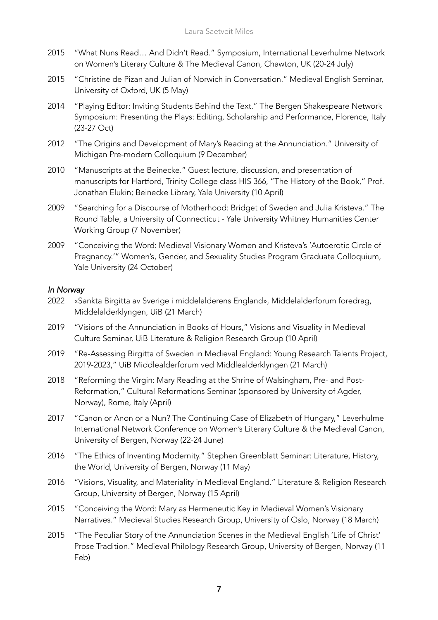- 2015 "What Nuns Read… And Didn't Read." Symposium, International Leverhulme Network on Women's Literary Culture & The Medieval Canon, Chawton, UK (20-24 July)
- 2015 "Christine de Pizan and Julian of Norwich in Conversation." Medieval English Seminar, University of Oxford, UK (5 May)
- 2014 "Playing Editor: Inviting Students Behind the Text." The Bergen Shakespeare Network Symposium: Presenting the Plays: Editing, Scholarship and Performance, Florence, Italy (23-27 Oct)
- 2012 "The Origins and Development of Mary's Reading at the Annunciation." University of Michigan Pre-modern Colloquium (9 December)
- 2010 "Manuscripts at the Beinecke." Guest lecture, discussion, and presentation of manuscripts for Hartford, Trinity College class HIS 366, "The History of the Book," Prof. Jonathan Elukin; Beinecke Library, Yale University (10 April)
- 2009 "Searching for a Discourse of Motherhood: Bridget of Sweden and Julia Kristeva." The Round Table, a University of Connecticut - Yale University Whitney Humanities Center Working Group (7 November)
- 2009 "Conceiving the Word: Medieval Visionary Women and Kristeva's 'Autoerotic Circle of Pregnancy.'" Women's, Gender, and Sexuality Studies Program Graduate Colloquium, Yale University (24 October)

#### *In Norway*

- 2022 «Sankta Birgitta av Sverige i middelalderens England», Middelalderforum foredrag, Middelalderklyngen, UiB (21 March)
- 2019 "Visions of the Annunciation in Books of Hours," Visions and Visuality in Medieval Culture Seminar, UiB Literature & Religion Research Group (10 April)
- 2019 "Re-Assessing Birgitta of Sweden in Medieval England: Young Research Talents Project, 2019-2023," UiB Middlealderforum ved Middlealderklyngen (21 March)
- 2018 "Reforming the Virgin: Mary Reading at the Shrine of Walsingham, Pre- and Post-Reformation," Cultural Reformations Seminar (sponsored by University of Agder, Norway), Rome, Italy (April)
- 2017 "Canon or Anon or a Nun? The Continuing Case of Elizabeth of Hungary," Leverhulme International Network Conference on Women's Literary Culture & the Medieval Canon, University of Bergen, Norway (22-24 June)
- 2016 "The Ethics of Inventing Modernity." Stephen Greenblatt Seminar: Literature, History, the World, University of Bergen, Norway (11 May)
- 2016 "Visions, Visuality, and Materiality in Medieval England." Literature & Religion Research Group, University of Bergen, Norway (15 April)
- 2015 "Conceiving the Word: Mary as Hermeneutic Key in Medieval Women's Visionary Narratives." Medieval Studies Research Group, University of Oslo, Norway (18 March)
- 2015 "The Peculiar Story of the Annunciation Scenes in the Medieval English 'Life of Christ' Prose Tradition." Medieval Philology Research Group, University of Bergen, Norway (11 Feb)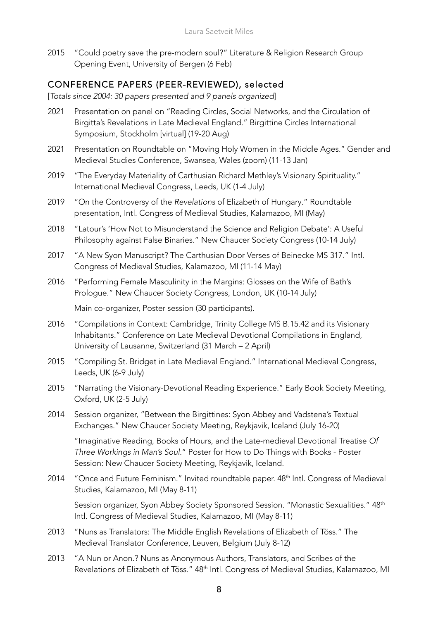2015 "Could poetry save the pre-modern soul?" Literature & Religion Research Group Opening Event, University of Bergen (6 Feb)

#### CONFERENCE PAPERS (PEER-REVIEWED), selected

[*Totals since 2004: 30 papers presented and 9 panels organized*]

- 2021 Presentation on panel on "Reading Circles, Social Networks, and the Circulation of Birgitta's Revelations in Late Medieval England." Birgittine Circles International Symposium, Stockholm [virtual] (19-20 Aug)
- 2021 Presentation on Roundtable on "Moving Holy Women in the Middle Ages." Gender and Medieval Studies Conference, Swansea, Wales (zoom) (11-13 Jan)
- 2019 "The Everyday Materiality of Carthusian Richard Methley's Visionary Spirituality." International Medieval Congress, Leeds, UK (1-4 July)
- 2019 "On the Controversy of the *Revelations* of Elizabeth of Hungary." Roundtable presentation, Intl. Congress of Medieval Studies, Kalamazoo, MI (May)
- 2018 "Latour's 'How Not to Misunderstand the Science and Religion Debate': A Useful Philosophy against False Binaries." New Chaucer Society Congress (10-14 July)
- 2017 "A New Syon Manuscript? The Carthusian Door Verses of Beinecke MS 317." Intl. Congress of Medieval Studies, Kalamazoo, MI (11-14 May)
- 2016 "Performing Female Masculinity in the Margins: Glosses on the Wife of Bath's Prologue." New Chaucer Society Congress, London, UK (10-14 July)

Main co-organizer, Poster session (30 participants).

- 2016 "Compilations in Context: Cambridge, Trinity College MS B.15.42 and its Visionary Inhabitants." Conference on Late Medieval Devotional Compilations in England, University of Lausanne, Switzerland (31 March – 2 April)
- 2015 "Compiling St. Bridget in Late Medieval England." International Medieval Congress, Leeds, UK (6-9 July)
- 2015 "Narrating the Visionary-Devotional Reading Experience." Early Book Society Meeting, Oxford, UK (2-5 July)
- 2014 Session organizer, "Between the Birgittines: Syon Abbey and Vadstena's Textual Exchanges." New Chaucer Society Meeting, Reykjavik, Iceland (July 16-20)

"Imaginative Reading, Books of Hours, and the Late-medieval Devotional Treatise *Of Three Workings in Man's Soul*." Poster for How to Do Things with Books - Poster Session: New Chaucer Society Meeting, Reykjavik, Iceland.

2014 "Once and Future Feminism." Invited roundtable paper. 48<sup>th</sup> Intl. Congress of Medieval Studies, Kalamazoo, MI (May 8-11)

Session organizer, Syon Abbey Society Sponsored Session. "Monastic Sexualities." 48<sup>th</sup> Intl. Congress of Medieval Studies, Kalamazoo, MI (May 8-11)

- 2013 "Nuns as Translators: The Middle English Revelations of Elizabeth of Töss." The Medieval Translator Conference, Leuven, Belgium (July 8-12)
- 2013 "A Nun or Anon.? Nuns as Anonymous Authors, Translators, and Scribes of the Revelations of Elizabeth of Töss." 48<sup>th</sup> Intl. Congress of Medieval Studies, Kalamazoo, MI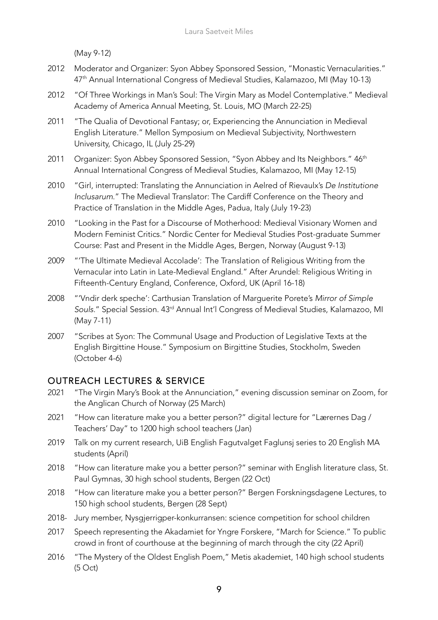(May 9-12)

- 2012 Moderator and Organizer: Syon Abbey Sponsored Session, "Monastic Vernacularities." 47<sup>th</sup> Annual International Congress of Medieval Studies, Kalamazoo, MI (May 10-13)
- 2012 "Of Three Workings in Man's Soul: The Virgin Mary as Model Contemplative." Medieval Academy of America Annual Meeting, St. Louis, MO (March 22-25)
- 2011 "The Qualia of Devotional Fantasy; or, Experiencing the Annunciation in Medieval English Literature." Mellon Symposium on Medieval Subjectivity, Northwestern University, Chicago, IL (July 25-29)
- 2011 Organizer: Syon Abbey Sponsored Session, "Syon Abbey and Its Neighbors." 46<sup>th</sup> Annual International Congress of Medieval Studies, Kalamazoo, MI (May 12-15)
- 2010 "Girl, interrupted: Translating the Annunciation in Aelred of Rievaulx's *De Institutione Inclusarum*." The Medieval Translator: The Cardiff Conference on the Theory and Practice of Translation in the Middle Ages, Padua, Italy (July 19-23)
- 2010 "Looking in the Past for a Discourse of Motherhood: Medieval Visionary Women and Modern Feminist Critics." Nordic Center for Medieval Studies Post-graduate Summer Course: Past and Present in the Middle Ages, Bergen, Norway (August 9-13)
- 2009 "'The Ultimate Medieval Accolade': The Translation of Religious Writing from the Vernacular into Latin in Late-Medieval England." After Arundel: Religious Writing in Fifteenth-Century England, Conference, Oxford, UK (April 16-18)
- 2008 "'Vndir derk speche': Carthusian Translation of Marguerite Porete's *Mirror of Simple Souls*." Special Session. 43rd Annual Int'l Congress of Medieval Studies, Kalamazoo, MI (May 7-11)
- 2007 "Scribes at Syon: The Communal Usage and Production of Legislative Texts at the English Birgittine House." Symposium on Birgittine Studies, Stockholm, Sweden (October 4-6)

#### OUTREACH LECTURES & SERVICE

- 2021 "The Virgin Mary's Book at the Annunciation," evening discussion seminar on Zoom, for the Anglican Church of Norway (25 March)
- 2021 "How can literature make you a better person?" digital lecture for "Lærernes Dag / Teachers' Day" to 1200 high school teachers (Jan)
- 2019 Talk on my current research, UiB English Fagutvalget Faglunsj series to 20 English MA students (April)
- 2018 "How can literature make you a better person?" seminar with English literature class, St. Paul Gymnas, 30 high school students, Bergen (22 Oct)
- 2018 "How can literature make you a better person?" Bergen Forskningsdagene Lectures, to 150 high school students, Bergen (28 Sept)
- 2018- Jury member, Nysgjerrigper-konkurransen: science competition for school children
- 2017 Speech representing the Akadamiet for Yngre Forskere, "March for Science." To public crowd in front of courthouse at the beginning of march through the city (22 April)
- 2016 "The Mystery of the Oldest English Poem," Metis akademiet, 140 high school students (5 Oct)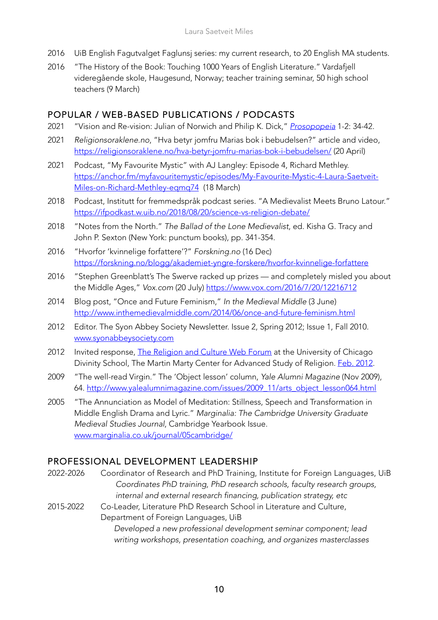- 2016 UiB English Fagutvalget Faglunsj series: my current research, to 20 English MA students.
- 2016 "The History of the Book: Touching 1000 Years of English Literature." Vardafjell videregående skole, Haugesund, Norway; teacher training seminar, 50 high school teachers (9 March)

#### POPULAR / WEB-BASED PUBLICATIONS / PODCASTS

- 2021 "Vision and Re-vision: Julian of Norwich and Philip K. Dick," *Prosopopeia* 1-2: 34-42.
- 2021 *Religionsoraklene.no*, "Hva betyr jomfru Marias bok i bebudelsen?" article and video, https://religionsoraklene.no/hva-betyr-jomfru-marias-bok-i-bebudelsen/ (20 April)
- 2021 Podcast, "My Favourite Mystic" with AJ Langley: Episode 4, Richard Methley. https://anchor.fm/myfavouritemystic/episodes/My-Favourite-Mystic-4-Laura-Saetveit-Miles-on-Richard-Methley-eqmq74 (18 March)
- 2018 Podcast, Institutt for fremmedspråk podcast series. "A Medievalist Meets Bruno Latour." https://ifpodkast.w.uib.no/2018/08/20/science-vs-religion-debate/
- 2018 "Notes from the North." *The Ballad of the Lone Medievalist*, ed. Kisha G. Tracy and John P. Sexton (New York: punctum books), pp. 341-354.
- 2016 "Hvorfor 'kvinnelige forfattere'?" *Forskning.no* (16 Dec) https://forskning.no/blogg/akademiet-yngre-forskere/hvorfor-kvinnelige-forfattere
- 2016 "Stephen Greenblatt's The Swerve racked up prizes and completely misled you about the Middle Ages," *Vox.com* (20 July) https://www.vox.com/2016/7/20/12216712
- 2014 Blog post, "Once and Future Feminism," *In the Medieval Middle* (3 June) http://www.inthemedievalmiddle.com/2014/06/once-and-future-feminism.html
- 2012 Editor. The Syon Abbey Society Newsletter. Issue 2, Spring 2012; Issue 1, Fall 2010. www.syonabbeysociety.com
- 2012 Invited response, The Religion and Culture Web Forum at the University of Chicago Divinity School, The Martin Marty Center for Advanced Study of Religion. **Feb. 2012.**
- 2009 "The well-read Virgin." The 'Object lesson' column, *Yale Alumni Magazine* (Nov 2009), 64. http://www.yalealumnimagazine.com/issues/2009\_11/arts\_object\_lesson064.html
- 2005 "The Annunciation as Model of Meditation: Stillness, Speech and Transformation in Middle English Drama and Lyric." *Marginalia: The Cambridge University Graduate Medieval Studies Journal*, Cambridge Yearbook Issue. www.marginalia.co.uk/journal/05cambridge/

#### PROFESSIONAL DEVELOPMENT LEADERSHIP

- 2022-2026 Coordinator of Research and PhD Training, Institute for Foreign Languages, UiB *Coordinates PhD training, PhD research schools, faculty research groups, internal and external research financing, publication strategy, etc*
- 2015-2022 Co-Leader, Literature PhD Research School in Literature and Culture, Department of Foreign Languages, UiB

*Developed a new professional development seminar component; lead writing workshops, presentation coaching, and organizes masterclasses*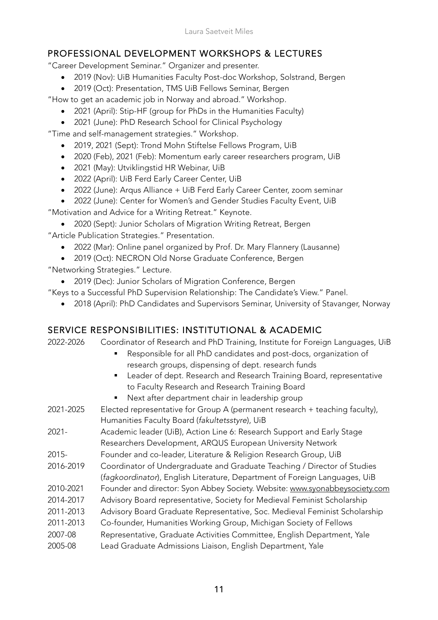### PROFESSIONAL DEVELOPMENT WORKSHOPS & LECTURES

"Career Development Seminar." Organizer and presenter.

- 2019 (Nov): UiB Humanities Faculty Post-doc Workshop, Solstrand, Bergen
- 2019 (Oct): Presentation, TMS UiB Fellows Seminar, Bergen

"How to get an academic job in Norway and abroad." Workshop.

- 2021 (April): Stip-HF (group for PhDs in the Humanities Faculty)
- 2021 (June): PhD Research School for Clinical Psychology

"Time and self-management strategies." Workshop.

- 2019, 2021 (Sept): Trond Mohn Stiftelse Fellows Program, UiB
- 2020 (Feb), 2021 (Feb): Momentum early career researchers program, UiB
- 2021 (May): Utviklingstid HR Webinar, UiB
- 2022 (April): UiB Ferd Early Career Center, UiB
- 2022 (June): Arqus Alliance + UiB Ferd Early Career Center, zoom seminar
- 2022 (June): Center for Women's and Gender Studies Faculty Event, UiB

"Motivation and Advice for a Writing Retreat." Keynote.

• 2020 (Sept): Junior Scholars of Migration Writing Retreat, Bergen

"Article Publication Strategies." Presentation.

- 2022 (Mar): Online panel organized by Prof. Dr. Mary Flannery (Lausanne)
- 2019 (Oct): NECRON Old Norse Graduate Conference, Bergen

"Networking Strategies." Lecture.

• 2019 (Dec): Junior Scholars of Migration Conference, Bergen

"Keys to a Successful PhD Supervision Relationship: The Candidate's View." Panel.

• 2018 (April): PhD Candidates and Supervisors Seminar, University of Stavanger, Norway

#### SERVICE RESPONSIBILITIES: INSTITUTIONAL & ACADEMIC

2022-2026 Coordinator of Research and PhD Training, Institute for Foreign Languages, UiB

- Responsible for all PhD candidates and post-docs, organization of research groups, dispensing of dept. research funds
- Leader of dept. Research and Research Training Board, representative to Faculty Research and Research Training Board
- Next after department chair in leadership group
- 2021-2025 Elected representative for Group A (permanent research + teaching faculty), Humanities Faculty Board (*fakultetsstyre*), UiB 2021- Academic leader (UiB), Action Line 6: Research Support and Early Stage Researchers Development, ARQUS European University Network 2015- Founder and co-leader, Literature & Religion Research Group, UiB 2016-2019 Coordinator of Undergraduate and Graduate Teaching / Director of Studies (*fagkoordinator*), English Literature, Department of Foreign Languages, UiB 2010-2021 Founder and director: Syon Abbey Society. Website: www.syonabbeysociety.com 2014-2017 Advisory Board representative, Society for Medieval Feminist Scholarship 2011-2013 Advisory Board Graduate Representative, Soc. Medieval Feminist Scholarship 2011-2013 Co-founder, Humanities Working Group, Michigan Society of Fellows
- 2007-08 Representative, Graduate Activities Committee, English Department, Yale
- 2005-08 Lead Graduate Admissions Liaison, English Department, Yale